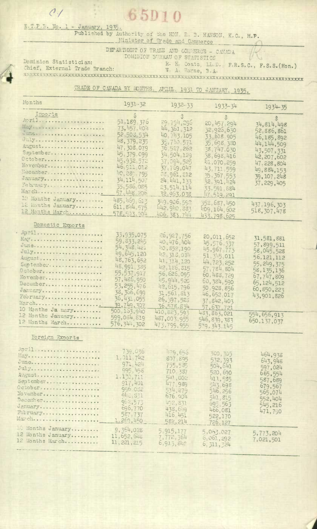## 65D10

E.T.P.B. No. 1 - January, 1935. Published by Authority of the HON R. B. HANSON, K.C., M.P. Minister of Trade and Commerce

DEPARTMENT OF TRADE AND CONNERCE - CANADA DOMINION BUREAU OF STATISTICS

Dominion Statistician: Chief, External Trade Branch:

 $\mathcal{O}$ 

R. E. Coats, LL.D., F.R.S.C., F.S.S.(Hon.)<br>W. A. Warne, B.A. 

TRADE OF CANADA BY MONTHS. APRIL, 1931 TO JANUARY, 1935.

| Months                                                                                                                                                        | $1931 - 32$                                                                                                                                                                                                                     | $1932 - 33$                                                                                                                                                                                                                    | $1933 - 34$                                                                                                                                                                                                                       | $1934 - 35$                                                                                                                                                                    |
|---------------------------------------------------------------------------------------------------------------------------------------------------------------|---------------------------------------------------------------------------------------------------------------------------------------------------------------------------------------------------------------------------------|--------------------------------------------------------------------------------------------------------------------------------------------------------------------------------------------------------------------------------|-----------------------------------------------------------------------------------------------------------------------------------------------------------------------------------------------------------------------------------|--------------------------------------------------------------------------------------------------------------------------------------------------------------------------------|
| Imports<br>April<br>Mey a so a concert on the concert of<br>Julys<br>Auguste<br>Saptember<br>October<br>November<br>December<br>January<br>February<br>March  | 51.189.376<br>73,451.404<br>52,503.534<br>48, 379, 235<br>47.308.079<br>45, 379, C99<br>45.952.572<br>46.911.012<br>40, 289, 795<br>34,114,507<br>35,586,085<br>57,448.206                                                      | $\ddot{\circ}$<br>29 794.295<br>44, 361, 312<br>40.74.3.105<br>35,710,571<br>36, 527, 262<br>34,504,129<br>37.094,525<br>37.769,047<br>33,961,212<br>24, 441, 133<br>23,514,114<br>32.953.038                                  | \$<br>20, 457. 294<br>32,925,630<br>33.618.905<br>35,698.380<br>38.747.030<br>58,698,416<br>12,070,259<br>43.711.559<br>35,357.553<br>32, 391, 424<br>33.591.884<br>17.519.291                                                    | \$<br>34,814,498<br>52,886,861<br>46, 185, 892<br>44, 144, 509<br>43,507,331<br>42, 207, 602<br>47.228,804<br>49,884,153<br>39, 107. 248<br>37, 229, 405                       |
| 10 Months January<br>12 konths January<br>12 Months March                                                                                                     | 485, 469, 613<br>611, 814.575<br>578.503.904                                                                                                                                                                                    | 349,906.592<br>442.910.883<br>406.383.744                                                                                                                                                                                      | 352, 687, 450<br>409, 164, 602<br>453.798,625                                                                                                                                                                                     | 437.196.303<br>518, 307, 478                                                                                                                                                   |
| Domestic Exports<br>August<br>September<br>November:<br>December<br>January<br>Pedruary<br>Merch<br>10 Months Ja uary<br>12 Months January<br>12 Months March | 33,935,075<br>59, 833, 245<br>54, 348, 421<br>49, 645, 120<br>48,763,652<br>48.991.385<br>55,537,917<br>57,486,950<br>53, 255, 476<br>38, 366, 699<br>36,431,055<br>39.749.307<br>500, 163, 940<br>599,084,819<br>576, 344, 302 | 26, 927, 756<br>40.476.404<br>40, 852, 190<br>42.31.3.034<br>41, 314, 120<br>42,186,315<br>56,626,095<br>45.944,520<br>42, 615, 796<br>31, 561, 813<br>26, 397, 523<br>36,578.834<br>410,823,595<br>487,003.955<br>475,799,955 | 20,011,652<br>45,576.357<br>45,967,773<br>51, 345, 011<br>44, 723, 252<br>57,784,804<br>60, 483, 729<br>60, 384, 590<br>50,928,856<br>46, 652, 017<br>37,842,403<br>57, 637, 721<br>433, 863, 021<br>546, 839, 383<br>579.343.145 | 31,581,881<br>57,899,511<br>58,045,528<br>56,121,112<br>55, 249, 375<br>58, 135, 136<br>67,747,809<br>65, 124, 512<br>60,850,223<br>43,901,826<br>554, 656, 913<br>650,137,037 |
| Foreign Exports<br>August<br>September<br>October<br>Movember<br>December<br>Jenuary<br>February<br>farch                                                     | 759,036<br>1.011.742<br>971, 424<br>995, 458<br>1,130,711<br>917,401<br>996.032<br><b>QIE. 371</b><br>962,577<br>696,770<br>587.737<br>1.269,450                                                                                | 1179,656<br>807.895<br>755,585<br>710, 337<br>541,002<br>477.989<br>574.279<br>676.904<br>492,831<br>438,619<br>416, 451<br>582,214                                                                                            | 300,305<br>532, 393<br>504,641<br>520,690<br>411,585<br>543.698<br>546,256<br>541, 815<br>695.563<br>466,081<br>522,170<br>726.127                                                                                                | 464,938<br>643,948<br>597,024<br>665,554<br>587,689<br>679,567<br>565,074<br>552,404<br>545,216<br>471,790                                                                     |
| Months January<br>2 Months January<br>2 Months March                                                                                                          | 9,364,028<br>11, 652, 648<br>11, 221, 215                                                                                                                                                                                       | 5,915,177<br>7,772,364<br>6, 915, 848                                                                                                                                                                                          | 5,063.027<br>6,061,292<br>6, 311, 324                                                                                                                                                                                             | 5,773,204<br>7,021,501                                                                                                                                                         |